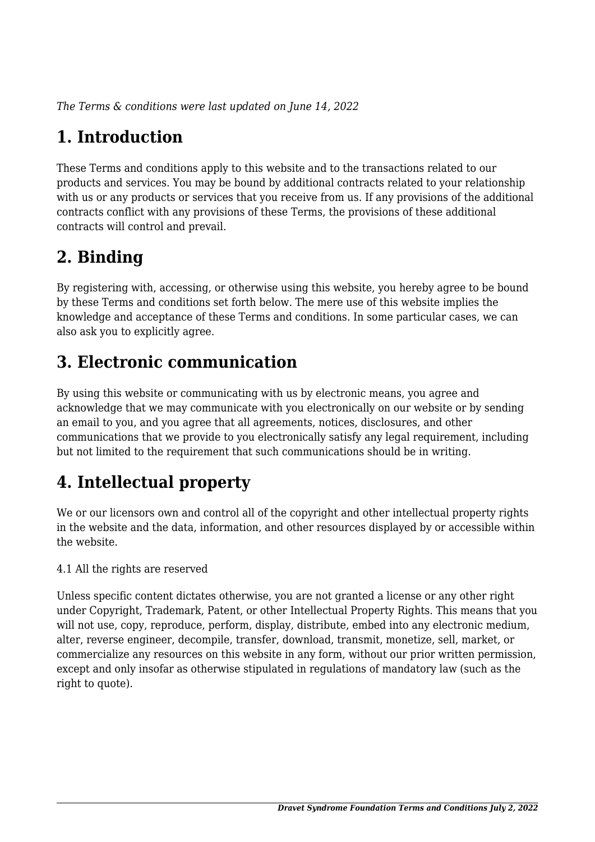*The Terms & conditions were last updated on June 14, 2022*

# **1. Introduction**

These Terms and conditions apply to this website and to the transactions related to our products and services. You may be bound by additional contracts related to your relationship with us or any products or services that you receive from us. If any provisions of the additional contracts conflict with any provisions of these Terms, the provisions of these additional contracts will control and prevail.

# **2. Binding**

By registering with, accessing, or otherwise using this website, you hereby agree to be bound by these Terms and conditions set forth below. The mere use of this website implies the knowledge and acceptance of these Terms and conditions. In some particular cases, we can also ask you to explicitly agree.

# **3. Electronic communication**

By using this website or communicating with us by electronic means, you agree and acknowledge that we may communicate with you electronically on our website or by sending an email to you, and you agree that all agreements, notices, disclosures, and other communications that we provide to you electronically satisfy any legal requirement, including but not limited to the requirement that such communications should be in writing.

# **4. Intellectual property**

We or our licensors own and control all of the copyright and other intellectual property rights in the website and the data, information, and other resources displayed by or accessible within the website.

4.1 All the rights are reserved

Unless specific content dictates otherwise, you are not granted a license or any other right under Copyright, Trademark, Patent, or other Intellectual Property Rights. This means that you will not use, copy, reproduce, perform, display, distribute, embed into any electronic medium, alter, reverse engineer, decompile, transfer, download, transmit, monetize, sell, market, or commercialize any resources on this website in any form, without our prior written permission, except and only insofar as otherwise stipulated in regulations of mandatory law (such as the right to quote).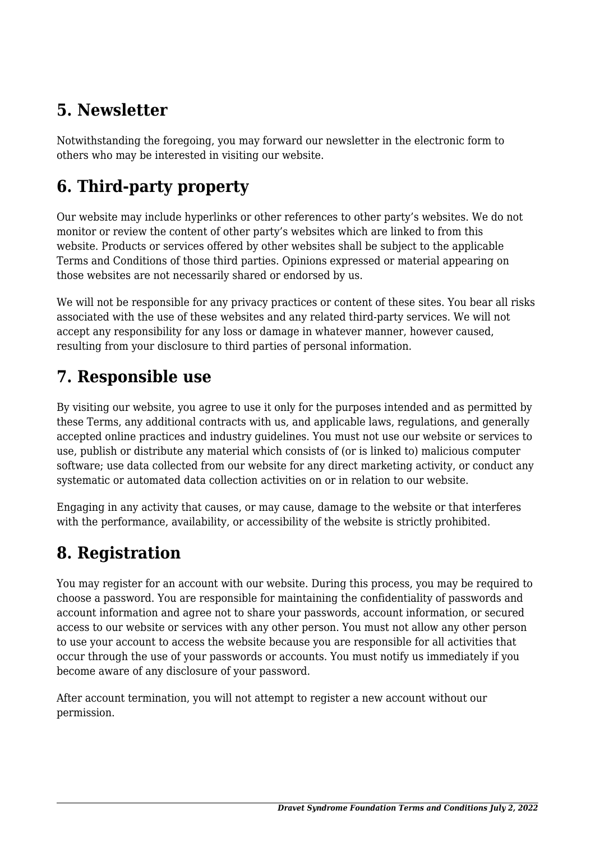# **5. Newsletter**

Notwithstanding the foregoing, you may forward our newsletter in the electronic form to others who may be interested in visiting our website.

# **6. Third-party property**

Our website may include hyperlinks or other references to other party's websites. We do not monitor or review the content of other party's websites which are linked to from this website. Products or services offered by other websites shall be subject to the applicable Terms and Conditions of those third parties. Opinions expressed or material appearing on those websites are not necessarily shared or endorsed by us.

We will not be responsible for any privacy practices or content of these sites. You bear all risks associated with the use of these websites and any related third-party services. We will not accept any responsibility for any loss or damage in whatever manner, however caused, resulting from your disclosure to third parties of personal information.

#### **7. Responsible use**

By visiting our website, you agree to use it only for the purposes intended and as permitted by these Terms, any additional contracts with us, and applicable laws, regulations, and generally accepted online practices and industry guidelines. You must not use our website or services to use, publish or distribute any material which consists of (or is linked to) malicious computer software; use data collected from our website for any direct marketing activity, or conduct any systematic or automated data collection activities on or in relation to our website.

Engaging in any activity that causes, or may cause, damage to the website or that interferes with the performance, availability, or accessibility of the website is strictly prohibited.

# **8. Registration**

You may register for an account with our website. During this process, you may be required to choose a password. You are responsible for maintaining the confidentiality of passwords and account information and agree not to share your passwords, account information, or secured access to our website or services with any other person. You must not allow any other person to use your account to access the website because you are responsible for all activities that occur through the use of your passwords or accounts. You must notify us immediately if you become aware of any disclosure of your password.

After account termination, you will not attempt to register a new account without our permission.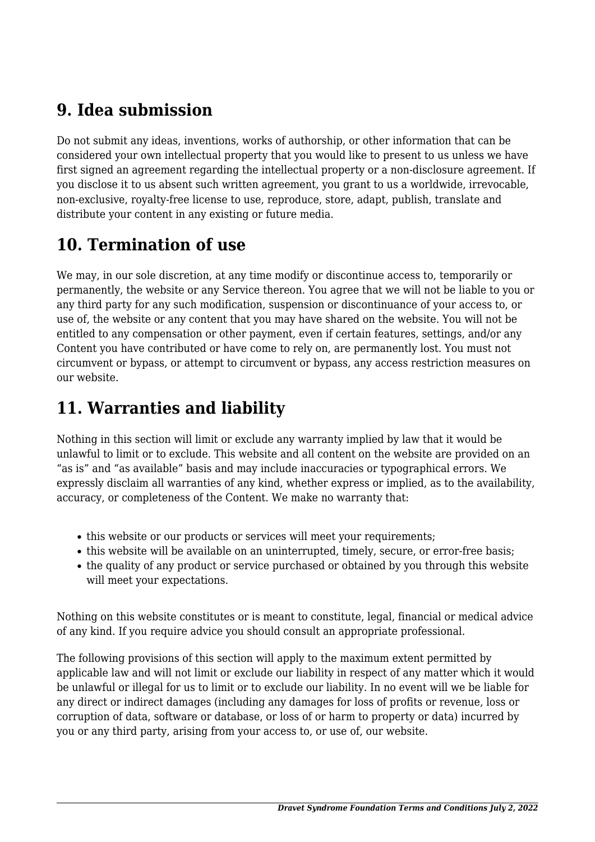### **9. Idea submission**

Do not submit any ideas, inventions, works of authorship, or other information that can be considered your own intellectual property that you would like to present to us unless we have first signed an agreement regarding the intellectual property or a non-disclosure agreement. If you disclose it to us absent such written agreement, you grant to us a worldwide, irrevocable, non-exclusive, royalty-free license to use, reproduce, store, adapt, publish, translate and distribute your content in any existing or future media.

# **10. Termination of use**

We may, in our sole discretion, at any time modify or discontinue access to, temporarily or permanently, the website or any Service thereon. You agree that we will not be liable to you or any third party for any such modification, suspension or discontinuance of your access to, or use of, the website or any content that you may have shared on the website. You will not be entitled to any compensation or other payment, even if certain features, settings, and/or any Content you have contributed or have come to rely on, are permanently lost. You must not circumvent or bypass, or attempt to circumvent or bypass, any access restriction measures on our website.

# **11. Warranties and liability**

Nothing in this section will limit or exclude any warranty implied by law that it would be unlawful to limit or to exclude. This website and all content on the website are provided on an "as is" and "as available" basis and may include inaccuracies or typographical errors. We expressly disclaim all warranties of any kind, whether express or implied, as to the availability, accuracy, or completeness of the Content. We make no warranty that:

- this website or our products or services will meet your requirements;
- this website will be available on an uninterrupted, timely, secure, or error-free basis;
- the quality of any product or service purchased or obtained by you through this website will meet your expectations.

Nothing on this website constitutes or is meant to constitute, legal, financial or medical advice of any kind. If you require advice you should consult an appropriate professional.

The following provisions of this section will apply to the maximum extent permitted by applicable law and will not limit or exclude our liability in respect of any matter which it would be unlawful or illegal for us to limit or to exclude our liability. In no event will we be liable for any direct or indirect damages (including any damages for loss of profits or revenue, loss or corruption of data, software or database, or loss of or harm to property or data) incurred by you or any third party, arising from your access to, or use of, our website.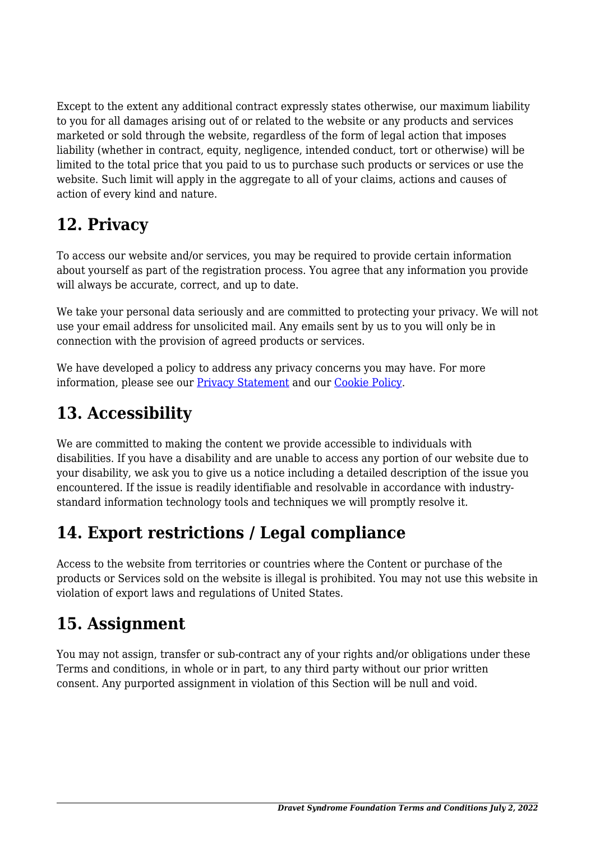Except to the extent any additional contract expressly states otherwise, our maximum liability to you for all damages arising out of or related to the website or any products and services marketed or sold through the website, regardless of the form of legal action that imposes liability (whether in contract, equity, negligence, intended conduct, tort or otherwise) will be limited to the total price that you paid to us to purchase such products or services or use the website. Such limit will apply in the aggregate to all of your claims, actions and causes of action of every kind and nature.

### **12. Privacy**

To access our website and/or services, you may be required to provide certain information about yourself as part of the registration process. You agree that any information you provide will always be accurate, correct, and up to date.

We take your personal data seriously and are committed to protecting your privacy. We will not use your email address for unsolicited mail. Any emails sent by us to you will only be in connection with the provision of agreed products or services.

We have developed a policy to address any privacy concerns you may have. For more information, please see our [Privacy Statement](#page--1-0) and our [Cookie Policy](https://dravetfoundation.org/cookie-policy-us/?cmplz_region_redirect=true).

# **13. Accessibility**

We are committed to making the content we provide accessible to individuals with disabilities. If you have a disability and are unable to access any portion of our website due to your disability, we ask you to give us a notice including a detailed description of the issue you encountered. If the issue is readily identifiable and resolvable in accordance with industrystandard information technology tools and techniques we will promptly resolve it.

# **14. Export restrictions / Legal compliance**

Access to the website from territories or countries where the Content or purchase of the products or Services sold on the website is illegal is prohibited. You may not use this website in violation of export laws and regulations of United States.

# **15. Assignment**

You may not assign, transfer or sub-contract any of your rights and/or obligations under these Terms and conditions, in whole or in part, to any third party without our prior written consent. Any purported assignment in violation of this Section will be null and void.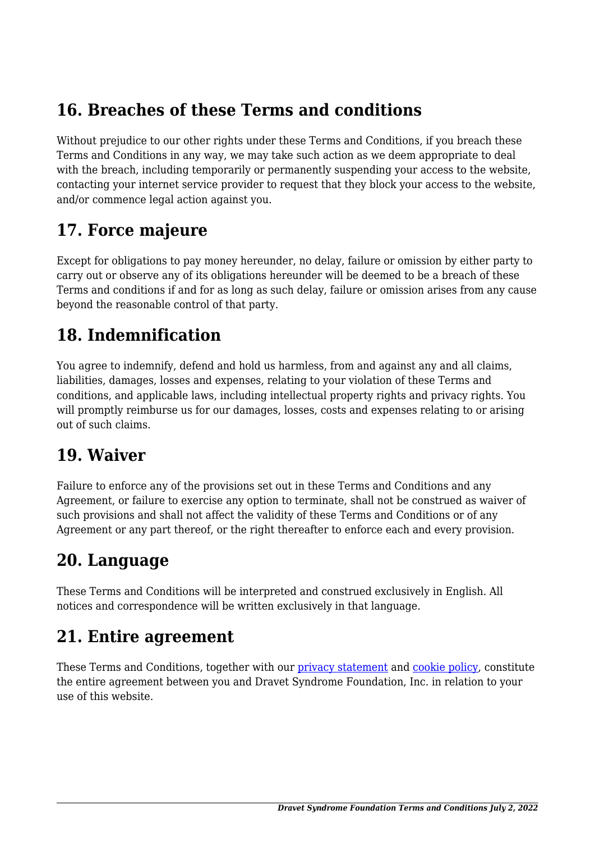### **16. Breaches of these Terms and conditions**

Without prejudice to our other rights under these Terms and Conditions, if you breach these Terms and Conditions in any way, we may take such action as we deem appropriate to deal with the breach, including temporarily or permanently suspending your access to the website, contacting your internet service provider to request that they block your access to the website, and/or commence legal action against you.

#### **17. Force majeure**

Except for obligations to pay money hereunder, no delay, failure or omission by either party to carry out or observe any of its obligations hereunder will be deemed to be a breach of these Terms and conditions if and for as long as such delay, failure or omission arises from any cause beyond the reasonable control of that party.

#### **18. Indemnification**

You agree to indemnify, defend and hold us harmless, from and against any and all claims, liabilities, damages, losses and expenses, relating to your violation of these Terms and conditions, and applicable laws, including intellectual property rights and privacy rights. You will promptly reimburse us for our damages, losses, costs and expenses relating to or arising out of such claims.

#### **19. Waiver**

Failure to enforce any of the provisions set out in these Terms and Conditions and any Agreement, or failure to exercise any option to terminate, shall not be construed as waiver of such provisions and shall not affect the validity of these Terms and Conditions or of any Agreement or any part thereof, or the right thereafter to enforce each and every provision.

#### **20. Language**

These Terms and Conditions will be interpreted and construed exclusively in English. All notices and correspondence will be written exclusively in that language.

#### **21. Entire agreement**

These Terms and Conditions, together with our [privacy statement](#page--1-0) and [cookie policy,](https://dravetfoundation.org/cookie-policy-us/?cmplz_region_redirect=true) constitute the entire agreement between you and Dravet Syndrome Foundation, Inc. in relation to your use of this website.